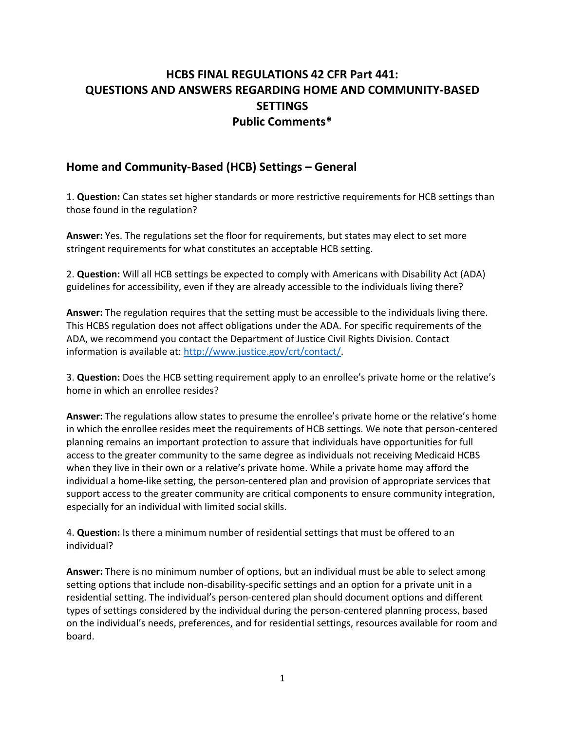# **HCBS FINAL REGULATIONS 42 CFR Part 441: QUESTIONS AND ANSWERS REGARDING HOME AND COMMUNITY-BASED SETTINGS Public Comments\***

### **Home and Community-Based (HCB) Settings – General**

1. **Question:** Can states set higher standards or more restrictive requirements for HCB settings than those found in the regulation?

**Answer:** Yes. The regulations set the floor for requirements, but states may elect to set more stringent requirements for what constitutes an acceptable HCB setting.

2. **Question:** Will all HCB settings be expected to comply with Americans with Disability Act (ADA) guidelines for accessibility, even if they are already accessible to the individuals living there?

**Answer:** The regulation requires that the setting must be accessible to the individuals living there. This HCBS regulation does not affect obligations under the ADA. For specific requirements of the ADA, we recommend you contact the Department of Justice Civil Rights Division. Contact information is available at: [http://www.justice.gov/crt/contact/.](http://www.justice.gov/crt/contact/)

3. **Question:** Does the HCB setting requirement apply to an enrollee's private home or the relative's home in which an enrollee resides?

**Answer:** The regulations allow states to presume the enrollee's private home or the relative's home in which the enrollee resides meet the requirements of HCB settings. We note that person-centered planning remains an important protection to assure that individuals have opportunities for full access to the greater community to the same degree as individuals not receiving Medicaid HCBS when they live in their own or a relative's private home. While a private home may afford the individual a home-like setting, the person-centered plan and provision of appropriate services that support access to the greater community are critical components to ensure community integration, especially for an individual with limited social skills.

4. **Question:** Is there a minimum number of residential settings that must be offered to an individual?

**Answer:** There is no minimum number of options, but an individual must be able to select among setting options that include non-disability-specific settings and an option for a private unit in a residential setting. The individual's person-centered plan should document options and different types of settings considered by the individual during the person-centered planning process, based on the individual's needs, preferences, and for residential settings, resources available for room and board.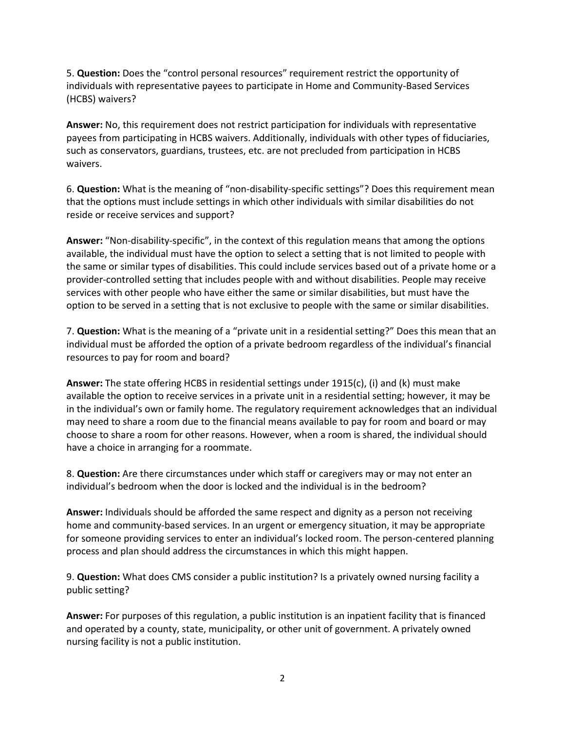5. **Question:** Does the "control personal resources" requirement restrict the opportunity of individuals with representative payees to participate in Home and Community-Based Services (HCBS) waivers?

**Answer:** No, this requirement does not restrict participation for individuals with representative payees from participating in HCBS waivers. Additionally, individuals with other types of fiduciaries, such as conservators, guardians, trustees, etc. are not precluded from participation in HCBS waivers.

6. **Question:** What is the meaning of "non-disability-specific settings"? Does this requirement mean that the options must include settings in which other individuals with similar disabilities do not reside or receive services and support?

**Answer:** "Non-disability-specific", in the context of this regulation means that among the options available, the individual must have the option to select a setting that is not limited to people with the same or similar types of disabilities. This could include services based out of a private home or a provider-controlled setting that includes people with and without disabilities. People may receive services with other people who have either the same or similar disabilities, but must have the option to be served in a setting that is not exclusive to people with the same or similar disabilities.

7. **Question:** What is the meaning of a "private unit in a residential setting?" Does this mean that an individual must be afforded the option of a private bedroom regardless of the individual's financial resources to pay for room and board?

**Answer:** The state offering HCBS in residential settings under 1915(c), (i) and (k) must make available the option to receive services in a private unit in a residential setting; however, it may be in the individual's own or family home. The regulatory requirement acknowledges that an individual may need to share a room due to the financial means available to pay for room and board or may choose to share a room for other reasons. However, when a room is shared, the individual should have a choice in arranging for a roommate.

8. **Question:** Are there circumstances under which staff or caregivers may or may not enter an individual's bedroom when the door is locked and the individual is in the bedroom?

**Answer:** Individuals should be afforded the same respect and dignity as a person not receiving home and community-based services. In an urgent or emergency situation, it may be appropriate for someone providing services to enter an individual's locked room. The person-centered planning process and plan should address the circumstances in which this might happen.

9. **Question:** What does CMS consider a public institution? Is a privately owned nursing facility a public setting?

**Answer:** For purposes of this regulation, a public institution is an inpatient facility that is financed and operated by a county, state, municipality, or other unit of government. A privately owned nursing facility is not a public institution.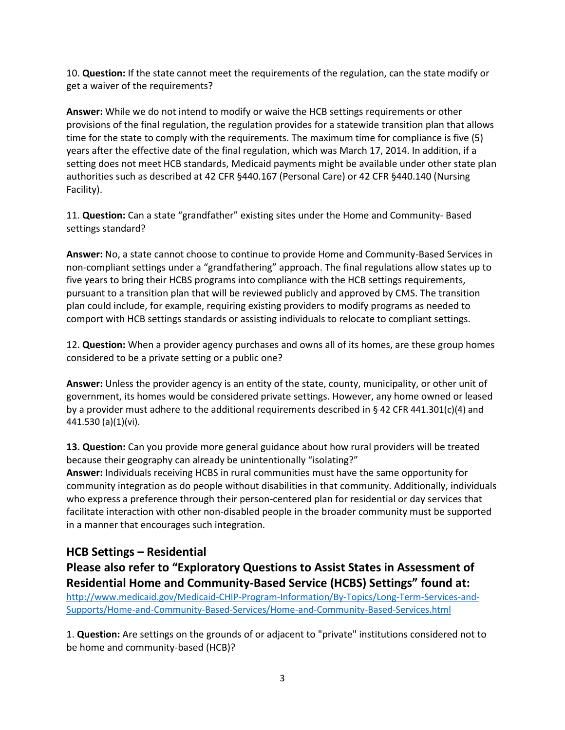10. **Question:** If the state cannot meet the requirements of the regulation, can the state modify or get a waiver of the requirements?

**Answer:** While we do not intend to modify or waive the HCB settings requirements or other provisions of the final regulation, the regulation provides for a statewide transition plan that allows time for the state to comply with the requirements. The maximum time for compliance is five (5) years after the effective date of the final regulation, which was March 17, 2014. In addition, if a setting does not meet HCB standards, Medicaid payments might be available under other state plan authorities such as described at 42 CFR §440.167 (Personal Care) or 42 CFR §440.140 (Nursing Facility).

11. **Question:** Can a state "grandfather" existing sites under the Home and Community- Based settings standard?

**Answer:** No, a state cannot choose to continue to provide Home and Community-Based Services in non-compliant settings under a "grandfathering" approach. The final regulations allow states up to five years to bring their HCBS programs into compliance with the HCB settings requirements, pursuant to a transition plan that will be reviewed publicly and approved by CMS. The transition plan could include, for example, requiring existing providers to modify programs as needed to comport with HCB settings standards or assisting individuals to relocate to compliant settings.

12. **Question:** When a provider agency purchases and owns all of its homes, are these group homes considered to be a private setting or a public one?

**Answer:** Unless the provider agency is an entity of the state, county, municipality, or other unit of government, its homes would be considered private settings. However, any home owned or leased by a provider must adhere to the additional requirements described in § 42 CFR 441.301(c)(4) and 441.530 (a)(1)(vi).

**13. Question:** Can you provide more general guidance about how rural providers will be treated because their geography can already be unintentionally "isolating?" **Answer:** Individuals receiving HCBS in rural communities must have the same opportunity for community integration as do people without disabilities in that community. Additionally, individuals who express a preference through their person-centered plan for residential or day services that facilitate interaction with other non-disabled people in the broader community must be supported in a manner that encourages such integration.

### **HCB Settings – Residential**

**Please also refer to "Exploratory Questions to Assist States in Assessment of Residential Home and Community-Based Service (HCBS) Settings" found at:** 

[http://www.medicaid.gov/Medicaid-CHIP-Program-Information/By-Topics/Long-Term-Services-and-](http://www.medicaid.gov/Medicaid-CHIP-Program-Information/By-Topics/Long-Term-Services-and-Supports/Home-and-Community-Based-Services/Home-and-Community-Based-Services.html)[Supports/Home-and-Community-Based-Services/Home-and-Community-Based-Services.html](http://www.medicaid.gov/Medicaid-CHIP-Program-Information/By-Topics/Long-Term-Services-and-Supports/Home-and-Community-Based-Services/Home-and-Community-Based-Services.html)

1. **Question:** Are settings on the grounds of or adjacent to "private" institutions considered not to be home and community-based (HCB)?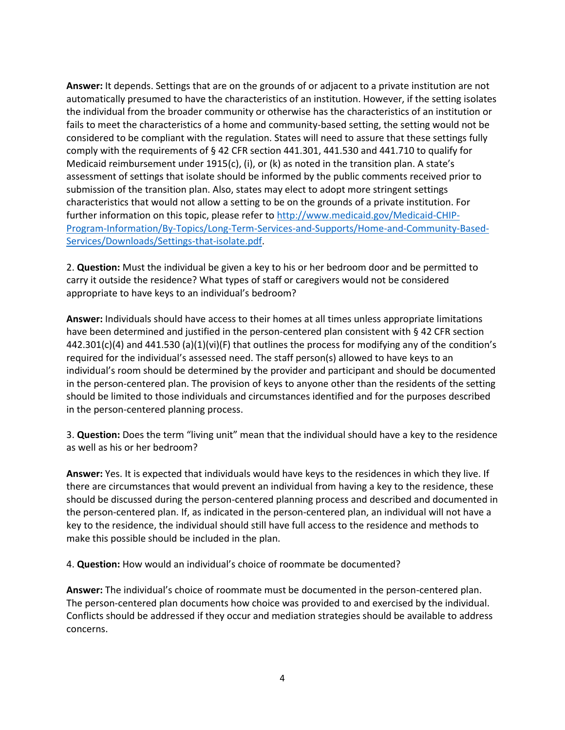**Answer:** It depends. Settings that are on the grounds of or adjacent to a private institution are not automatically presumed to have the characteristics of an institution. However, if the setting isolates the individual from the broader community or otherwise has the characteristics of an institution or fails to meet the characteristics of a home and community-based setting, the setting would not be considered to be compliant with the regulation. States will need to assure that these settings fully comply with the requirements of § 42 CFR section 441.301, 441.530 and 441.710 to qualify for Medicaid reimbursement under 1915(c), (i), or (k) as noted in the transition plan. A state's assessment of settings that isolate should be informed by the public comments received prior to submission of the transition plan. Also, states may elect to adopt more stringent settings characteristics that would not allow a setting to be on the grounds of a private institution. For further information on this topic, please refer to [http://www.medicaid.gov/Medicaid-CHIP-](http://www.medicaid.gov/Medicaid-CHIP-Program-Information/By-Topics/Long-Term-Services-and-Supports/Home-and-Community-Based-Services/Downloads/Settings-that-isolate.pdf)[Program-Information/By-Topics/Long-Term-Services-and-Supports/Home-and-Community-Based-](http://www.medicaid.gov/Medicaid-CHIP-Program-Information/By-Topics/Long-Term-Services-and-Supports/Home-and-Community-Based-Services/Downloads/Settings-that-isolate.pdf)[Services/Downloads/Settings-that-isolate.pdf.](http://www.medicaid.gov/Medicaid-CHIP-Program-Information/By-Topics/Long-Term-Services-and-Supports/Home-and-Community-Based-Services/Downloads/Settings-that-isolate.pdf)

2. **Question:** Must the individual be given a key to his or her bedroom door and be permitted to carry it outside the residence? What types of staff or caregivers would not be considered appropriate to have keys to an individual's bedroom?

**Answer:** Individuals should have access to their homes at all times unless appropriate limitations have been determined and justified in the person-centered plan consistent with § 42 CFR section 442.301(c)(4) and 441.530 (a)(1)(vi)(F) that outlines the process for modifying any of the condition's required for the individual's assessed need. The staff person(s) allowed to have keys to an individual's room should be determined by the provider and participant and should be documented in the person-centered plan. The provision of keys to anyone other than the residents of the setting should be limited to those individuals and circumstances identified and for the purposes described in the person-centered planning process.

3. **Question:** Does the term "living unit" mean that the individual should have a key to the residence as well as his or her bedroom?

**Answer:** Yes. It is expected that individuals would have keys to the residences in which they live. If there are circumstances that would prevent an individual from having a key to the residence, these should be discussed during the person-centered planning process and described and documented in the person-centered plan. If, as indicated in the person-centered plan, an individual will not have a key to the residence, the individual should still have full access to the residence and methods to make this possible should be included in the plan.

4. **Question:** How would an individual's choice of roommate be documented?

**Answer:** The individual's choice of roommate must be documented in the person-centered plan. The person-centered plan documents how choice was provided to and exercised by the individual. Conflicts should be addressed if they occur and mediation strategies should be available to address concerns.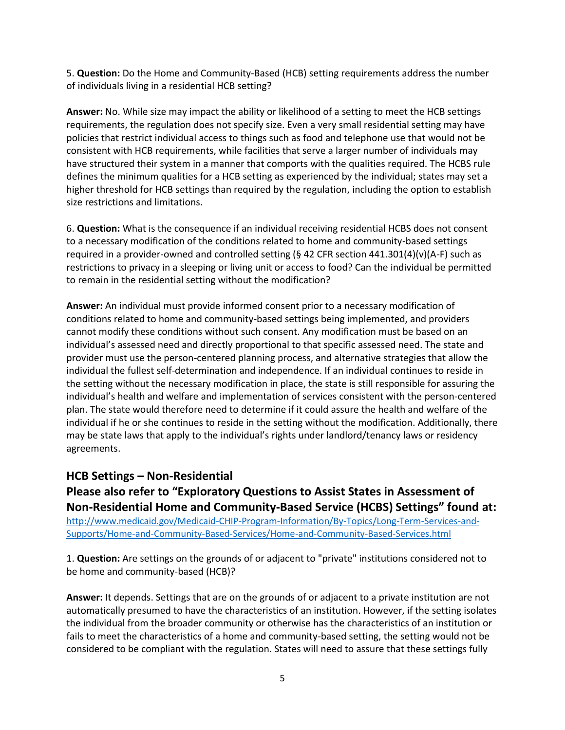5. **Question:** Do the Home and Community-Based (HCB) setting requirements address the number of individuals living in a residential HCB setting?

**Answer:** No. While size may impact the ability or likelihood of a setting to meet the HCB settings requirements, the regulation does not specify size. Even a very small residential setting may have policies that restrict individual access to things such as food and telephone use that would not be consistent with HCB requirements, while facilities that serve a larger number of individuals may have structured their system in a manner that comports with the qualities required. The HCBS rule defines the minimum qualities for a HCB setting as experienced by the individual; states may set a higher threshold for HCB settings than required by the regulation, including the option to establish size restrictions and limitations.

6. **Question:** What is the consequence if an individual receiving residential HCBS does not consent to a necessary modification of the conditions related to home and community-based settings required in a provider-owned and controlled setting (§ 42 CFR section  $441.301(4)(v)(A-F)$  such as restrictions to privacy in a sleeping or living unit or access to food? Can the individual be permitted to remain in the residential setting without the modification?

**Answer:** An individual must provide informed consent prior to a necessary modification of conditions related to home and community-based settings being implemented, and providers cannot modify these conditions without such consent. Any modification must be based on an individual's assessed need and directly proportional to that specific assessed need. The state and provider must use the person-centered planning process, and alternative strategies that allow the individual the fullest self-determination and independence. If an individual continues to reside in the setting without the necessary modification in place, the state is still responsible for assuring the individual's health and welfare and implementation of services consistent with the person-centered plan. The state would therefore need to determine if it could assure the health and welfare of the individual if he or she continues to reside in the setting without the modification. Additionally, there may be state laws that apply to the individual's rights under landlord/tenancy laws or residency agreements.

### **HCB Settings – Non-Residential**

**Please also refer to "Exploratory Questions to Assist States in Assessment of Non-Residential Home and Community-Based Service (HCBS) Settings" found at:**  [http://www.medicaid.gov/Medicaid-CHIP-Program-Information/By-Topics/Long-Term-Services-and-](http://www.medicaid.gov/Medicaid-CHIP-Program-Information/By-Topics/Long-Term-Services-and-Supports/Home-and-Community-Based-Services/Home-and-Community-Based-Services.html)[Supports/Home-and-Community-Based-Services/Home-and-Community-Based-Services.html](http://www.medicaid.gov/Medicaid-CHIP-Program-Information/By-Topics/Long-Term-Services-and-Supports/Home-and-Community-Based-Services/Home-and-Community-Based-Services.html)

1. **Question:** Are settings on the grounds of or adjacent to "private" institutions considered not to be home and community-based (HCB)?

**Answer:** It depends. Settings that are on the grounds of or adjacent to a private institution are not automatically presumed to have the characteristics of an institution. However, if the setting isolates the individual from the broader community or otherwise has the characteristics of an institution or fails to meet the characteristics of a home and community-based setting, the setting would not be considered to be compliant with the regulation. States will need to assure that these settings fully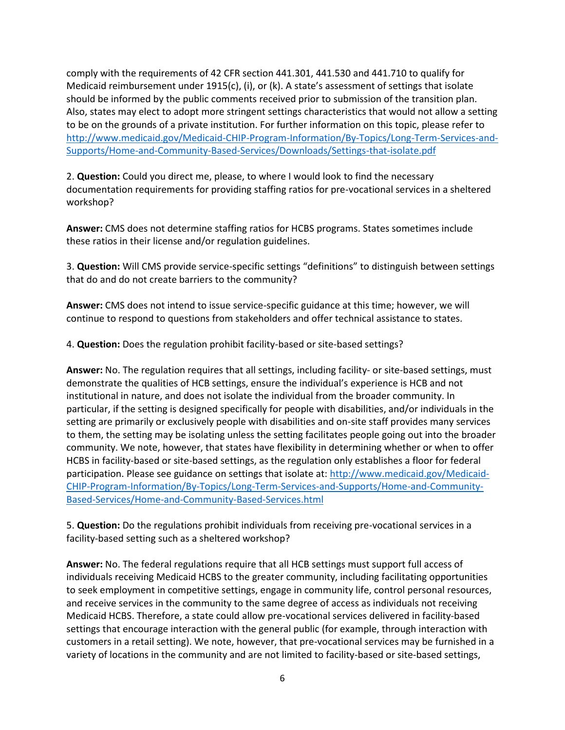comply with the requirements of 42 CFR section 441.301, 441.530 and 441.710 to qualify for Medicaid reimbursement under 1915(c), (i), or (k). A state's assessment of settings that isolate should be informed by the public comments received prior to submission of the transition plan. Also, states may elect to adopt more stringent settings characteristics that would not allow a setting to be on the grounds of a private institution. For further information on this topic, please refer to [http://www.medicaid.gov/Medicaid-CHIP-Program-Information/By-Topics/Long-Term-Services-and-](http://www.medicaid.gov/Medicaid-CHIP-Program-Information/By-Topics/Long-Term-Services-and-Supports/Home-and-Community-Based-Services/Downloads/Settings-that-isolate.pdf)[Supports/Home-and-Community-Based-Services/Downloads/Settings-that-isolate.pdf](http://www.medicaid.gov/Medicaid-CHIP-Program-Information/By-Topics/Long-Term-Services-and-Supports/Home-and-Community-Based-Services/Downloads/Settings-that-isolate.pdf)

2. **Question:** Could you direct me, please, to where I would look to find the necessary documentation requirements for providing staffing ratios for pre-vocational services in a sheltered workshop?

**Answer:** CMS does not determine staffing ratios for HCBS programs. States sometimes include these ratios in their license and/or regulation guidelines.

3. **Question:** Will CMS provide service-specific settings "definitions" to distinguish between settings that do and do not create barriers to the community?

**Answer:** CMS does not intend to issue service-specific guidance at this time; however, we will continue to respond to questions from stakeholders and offer technical assistance to states.

4. **Question:** Does the regulation prohibit facility-based or site-based settings?

**Answer:** No. The regulation requires that all settings, including facility- or site-based settings, must demonstrate the qualities of HCB settings, ensure the individual's experience is HCB and not institutional in nature, and does not isolate the individual from the broader community. In particular, if the setting is designed specifically for people with disabilities, and/or individuals in the setting are primarily or exclusively people with disabilities and on-site staff provides many services to them, the setting may be isolating unless the setting facilitates people going out into the broader community. We note, however, that states have flexibility in determining whether or when to offer HCBS in facility-based or site-based settings, as the regulation only establishes a floor for federal participation. Please see guidance on settings that isolate at: [http://www.medicaid.gov/Medicaid-](http://www.medicaid.gov/Medicaid-CHIP-Program-Information/By-Topics/Long-Term-Services-and-Supports/Home-and-Community-Based-Services/Home-and-Community-Based-Services.html)[CHIP-Program-Information/By-Topics/Long-Term-Services-and-Supports/Home-and-Community-](http://www.medicaid.gov/Medicaid-CHIP-Program-Information/By-Topics/Long-Term-Services-and-Supports/Home-and-Community-Based-Services/Home-and-Community-Based-Services.html)[Based-Services/Home-and-Community-Based-Services.html](http://www.medicaid.gov/Medicaid-CHIP-Program-Information/By-Topics/Long-Term-Services-and-Supports/Home-and-Community-Based-Services/Home-and-Community-Based-Services.html)

5. **Question:** Do the regulations prohibit individuals from receiving pre-vocational services in a facility-based setting such as a sheltered workshop?

**Answer:** No. The federal regulations require that all HCB settings must support full access of individuals receiving Medicaid HCBS to the greater community, including facilitating opportunities to seek employment in competitive settings, engage in community life, control personal resources, and receive services in the community to the same degree of access as individuals not receiving Medicaid HCBS. Therefore, a state could allow pre-vocational services delivered in facility-based settings that encourage interaction with the general public (for example, through interaction with customers in a retail setting). We note, however, that pre-vocational services may be furnished in a variety of locations in the community and are not limited to facility-based or site-based settings,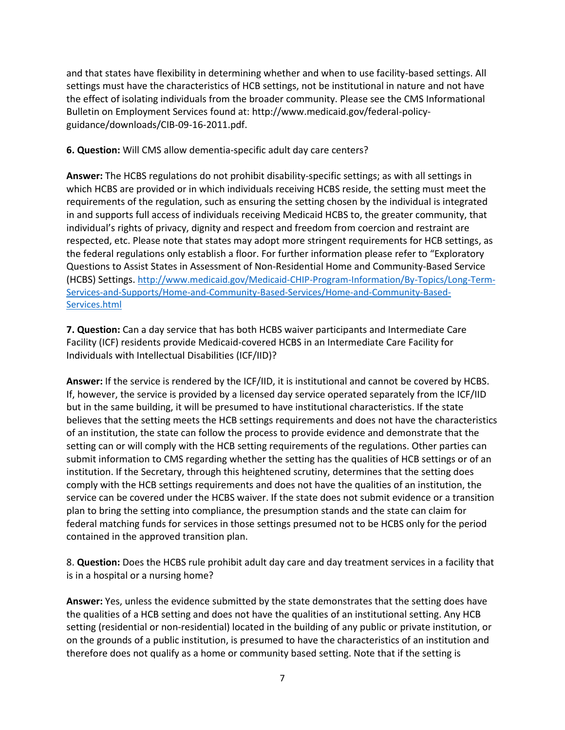and that states have flexibility in determining whether and when to use facility-based settings. All settings must have the characteristics of HCB settings, not be institutional in nature and not have the effect of isolating individuals from the broader community. Please see the CMS Informational Bulletin on Employment Services found at: http://www.medicaid.gov/federal-policyguidance/downloads/CIB-09-16-2011.pdf.

#### **6. Question:** Will CMS allow dementia-specific adult day care centers?

**Answer:** The HCBS regulations do not prohibit disability-specific settings; as with all settings in which HCBS are provided or in which individuals receiving HCBS reside, the setting must meet the requirements of the regulation, such as ensuring the setting chosen by the individual is integrated in and supports full access of individuals receiving Medicaid HCBS to, the greater community, that individual's rights of privacy, dignity and respect and freedom from coercion and restraint are respected, etc. Please note that states may adopt more stringent requirements for HCB settings, as the federal regulations only establish a floor. For further information please refer to "Exploratory Questions to Assist States in Assessment of Non-Residential Home and Community-Based Service (HCBS) Settings. [http://www.medicaid.gov/Medicaid-CHIP-Program-Information/By-Topics/Long-Term-](http://www.medicaid.gov/Medicaid-CHIP-Program-Information/By-Topics/Long-Term-Services-and-Supports/Home-and-Community-Based-Services/Home-and-Community-Based-Services.html)[Services-and-Supports/Home-and-Community-Based-Services/Home-and-Community-Based-](http://www.medicaid.gov/Medicaid-CHIP-Program-Information/By-Topics/Long-Term-Services-and-Supports/Home-and-Community-Based-Services/Home-and-Community-Based-Services.html)[Services.html](http://www.medicaid.gov/Medicaid-CHIP-Program-Information/By-Topics/Long-Term-Services-and-Supports/Home-and-Community-Based-Services/Home-and-Community-Based-Services.html)

**7. Question:** Can a day service that has both HCBS waiver participants and Intermediate Care Facility (ICF) residents provide Medicaid-covered HCBS in an Intermediate Care Facility for Individuals with Intellectual Disabilities (ICF/IID)?

**Answer:** If the service is rendered by the ICF/IID, it is institutional and cannot be covered by HCBS. If, however, the service is provided by a licensed day service operated separately from the ICF/IID but in the same building, it will be presumed to have institutional characteristics. If the state believes that the setting meets the HCB settings requirements and does not have the characteristics of an institution, the state can follow the process to provide evidence and demonstrate that the setting can or will comply with the HCB setting requirements of the regulations. Other parties can submit information to CMS regarding whether the setting has the qualities of HCB settings or of an institution. If the Secretary, through this heightened scrutiny, determines that the setting does comply with the HCB settings requirements and does not have the qualities of an institution, the service can be covered under the HCBS waiver. If the state does not submit evidence or a transition plan to bring the setting into compliance, the presumption stands and the state can claim for federal matching funds for services in those settings presumed not to be HCBS only for the period contained in the approved transition plan.

8. **Question:** Does the HCBS rule prohibit adult day care and day treatment services in a facility that is in a hospital or a nursing home?

**Answer:** Yes, unless the evidence submitted by the state demonstrates that the setting does have the qualities of a HCB setting and does not have the qualities of an institutional setting. Any HCB setting (residential or non-residential) located in the building of any public or private institution, or on the grounds of a public institution, is presumed to have the characteristics of an institution and therefore does not qualify as a home or community based setting. Note that if the setting is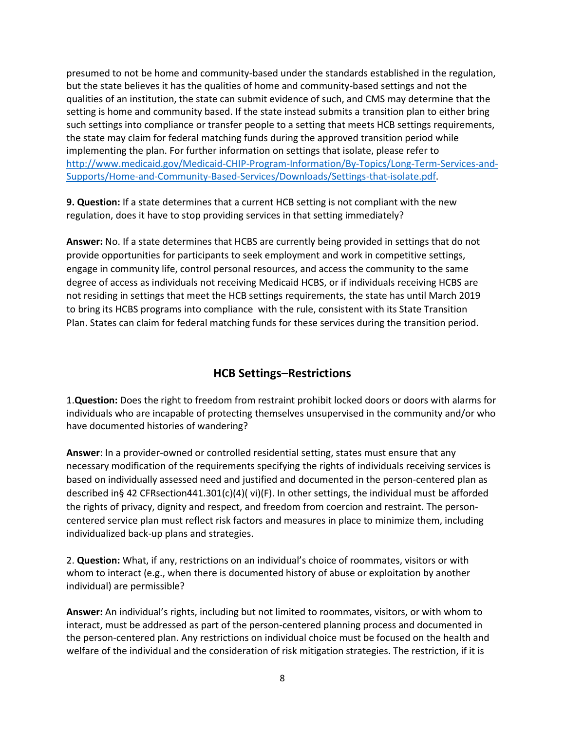presumed to not be home and community-based under the standards established in the regulation, but the state believes it has the qualities of home and community-based settings and not the qualities of an institution, the state can submit evidence of such, and CMS may determine that the setting is home and community based. If the state instead submits a transition plan to either bring such settings into compliance or transfer people to a setting that meets HCB settings requirements, the state may claim for federal matching funds during the approved transition period while implementing the plan. For further information on settings that isolate, please refer to [http://www.medicaid.gov/Medicaid-CHIP-Program-Information/By-Topics/Long-Term-Services-and-](http://www.medicaid.gov/Medicaid-CHIP-Program-Information/By-Topics/Long-Term-Services-and-Supports/Home-and-Community-Based-Services/Downloads/Settings-that-isolate.pdf)[Supports/Home-and-Community-Based-Services/Downloads/Settings-that-isolate.pdf.](http://www.medicaid.gov/Medicaid-CHIP-Program-Information/By-Topics/Long-Term-Services-and-Supports/Home-and-Community-Based-Services/Downloads/Settings-that-isolate.pdf)

**9. Question:** If a state determines that a current HCB setting is not compliant with the new regulation, does it have to stop providing services in that setting immediately?

**Answer:** No. If a state determines that HCBS are currently being provided in settings that do not provide opportunities for participants to seek employment and work in competitive settings, engage in community life, control personal resources, and access the community to the same degree of access as individuals not receiving Medicaid HCBS, or if individuals receiving HCBS are not residing in settings that meet the HCB settings requirements, the state has until March 2019 to bring its HCBS programs into compliance with the rule, consistent with its State Transition Plan. States can claim for federal matching funds for these services during the transition period.

## **HCB Settings–Restrictions**

1.**Question:** Does the right to freedom from restraint prohibit locked doors or doors with alarms for individuals who are incapable of protecting themselves unsupervised in the community and/or who have documented histories of wandering?

**Answer**: In a provider-owned or controlled residential setting, states must ensure that any necessary modification of the requirements specifying the rights of individuals receiving services is based on individually assessed need and justified and documented in the person-centered plan as described in§ 42 CFRsection441.301(c)(4)( vi)(F). In other settings, the individual must be afforded the rights of privacy, dignity and respect, and freedom from coercion and restraint. The personcentered service plan must reflect risk factors and measures in place to minimize them, including individualized back-up plans and strategies.

2. **Question:** What, if any, restrictions on an individual's choice of roommates, visitors or with whom to interact (e.g., when there is documented history of abuse or exploitation by another individual) are permissible?

**Answer:** An individual's rights, including but not limited to roommates, visitors, or with whom to interact, must be addressed as part of the person-centered planning process and documented in the person-centered plan. Any restrictions on individual choice must be focused on the health and welfare of the individual and the consideration of risk mitigation strategies. The restriction, if it is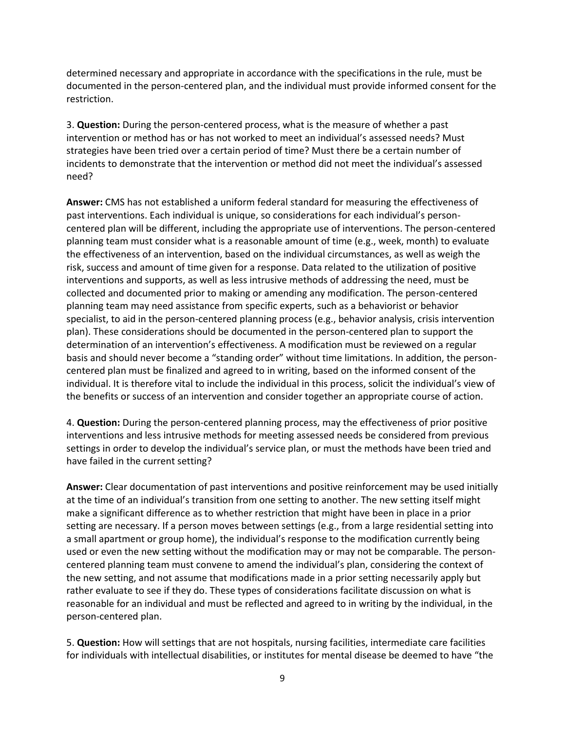determined necessary and appropriate in accordance with the specifications in the rule, must be documented in the person-centered plan, and the individual must provide informed consent for the restriction.

3. **Question:** During the person-centered process, what is the measure of whether a past intervention or method has or has not worked to meet an individual's assessed needs? Must strategies have been tried over a certain period of time? Must there be a certain number of incidents to demonstrate that the intervention or method did not meet the individual's assessed need?

**Answer:** CMS has not established a uniform federal standard for measuring the effectiveness of past interventions. Each individual is unique, so considerations for each individual's personcentered plan will be different, including the appropriate use of interventions. The person-centered planning team must consider what is a reasonable amount of time (e.g., week, month) to evaluate the effectiveness of an intervention, based on the individual circumstances, as well as weigh the risk, success and amount of time given for a response. Data related to the utilization of positive interventions and supports, as well as less intrusive methods of addressing the need, must be collected and documented prior to making or amending any modification. The person-centered planning team may need assistance from specific experts, such as a behaviorist or behavior specialist, to aid in the person-centered planning process (e.g., behavior analysis, crisis intervention plan). These considerations should be documented in the person-centered plan to support the determination of an intervention's effectiveness. A modification must be reviewed on a regular basis and should never become a "standing order" without time limitations. In addition, the personcentered plan must be finalized and agreed to in writing, based on the informed consent of the individual. It is therefore vital to include the individual in this process, solicit the individual's view of the benefits or success of an intervention and consider together an appropriate course of action.

4. **Question:** During the person-centered planning process, may the effectiveness of prior positive interventions and less intrusive methods for meeting assessed needs be considered from previous settings in order to develop the individual's service plan, or must the methods have been tried and have failed in the current setting?

**Answer:** Clear documentation of past interventions and positive reinforcement may be used initially at the time of an individual's transition from one setting to another. The new setting itself might make a significant difference as to whether restriction that might have been in place in a prior setting are necessary. If a person moves between settings (e.g., from a large residential setting into a small apartment or group home), the individual's response to the modification currently being used or even the new setting without the modification may or may not be comparable. The personcentered planning team must convene to amend the individual's plan, considering the context of the new setting, and not assume that modifications made in a prior setting necessarily apply but rather evaluate to see if they do. These types of considerations facilitate discussion on what is reasonable for an individual and must be reflected and agreed to in writing by the individual, in the person-centered plan.

5. **Question:** How will settings that are not hospitals, nursing facilities, intermediate care facilities for individuals with intellectual disabilities, or institutes for mental disease be deemed to have "the